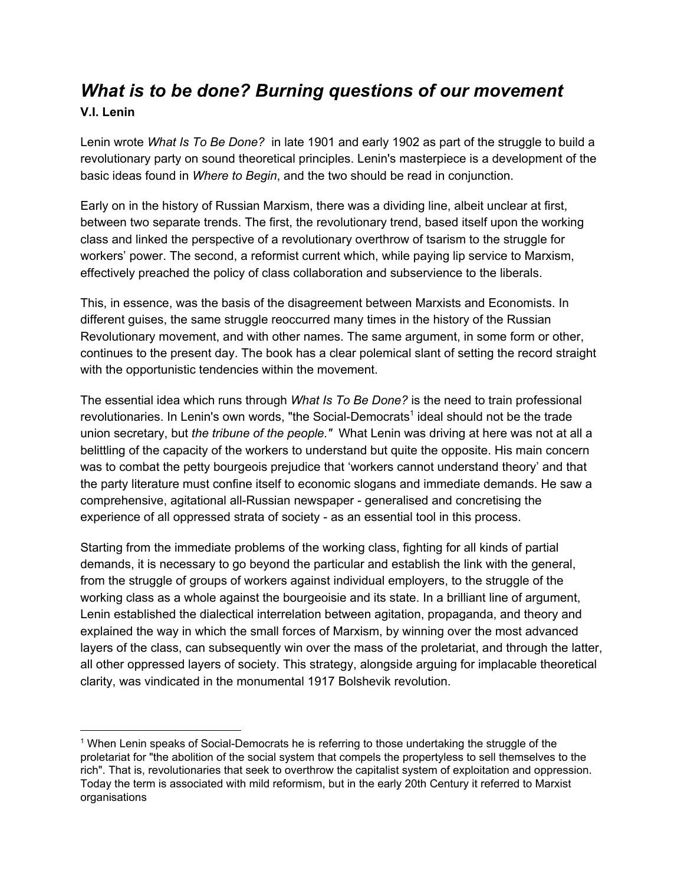### *What is to be done? Burning questions of our movement* **V.I. Lenin**

Lenin wrote *What Is To Be Done?* in late 1901 and early 1902 as part of the struggle to build a revolutionary party on sound theoretical principles. Lenin's masterpiece is a development of the basic ideas found in *Where to Begin*, and the two should be read in conjunction.

Early on in the history of Russian Marxism, there was a dividing line, albeit unclear at first, between two separate trends. The first, the revolutionary trend, based itself upon the working class and linked the perspective of a revolutionary overthrow of tsarism to the struggle for workers' power. The second, a reformist current which, while paying lip service to Marxism, effectively preached the policy of class collaboration and subservience to the liberals.

This, in essence, was the basis of the disagreement between Marxists and Economists. In different guises, the same struggle reoccurred many times in the history of the Russian Revolutionary movement, and with other names. The same argument, in some form or other, continues to the present day. The book has a clear polemical slant of setting the record straight with the opportunistic tendencies within the movement.

The essential idea which runs through *What Is To Be Done?* is the need to train professional revolutionaries. In Lenin's own words, "the Social-Democrats<sup>1</sup> ideal should not be the trade union secretary, but *the tribune of the people."* What Lenin was driving at here was not at all a belittling of the capacity of the workers to understand but quite the opposite. His main concern was to combat the petty bourgeois prejudice that 'workers cannot understand theory' and that the party literature must confine itself to economic slogans and immediate demands. He saw a comprehensive, agitational all-Russian newspaper - generalised and concretising the experience of all oppressed strata of society - as an essential tool in this process.

Starting from the immediate problems of the working class, fighting for all kinds of partial demands, it is necessary to go beyond the particular and establish the link with the general, from the struggle of groups of workers against individual employers, to the struggle of the working class as a whole against the bourgeoisie and its state. In a brilliant line of argument, Lenin established the dialectical interrelation between agitation, propaganda, and theory and explained the way in which the small forces of Marxism, by winning over the most advanced layers of the class, can subsequently win over the mass of the proletariat, and through the latter, all other oppressed layers of society. This strategy, alongside arguing for implacable theoretical clarity, was vindicated in the monumental 1917 Bolshevik revolution.

<sup>1</sup> When Lenin speaks of Social-Democrats he is referring to those undertaking the struggle of the proletariat for "the abolition of the social system that compels the propertyless to sell themselves to the rich". That is, revolutionaries that seek to overthrow the capitalist system of exploitation and oppression. Today the term is associated with mild reformism, but in the early 20th Century it referred to Marxist organisations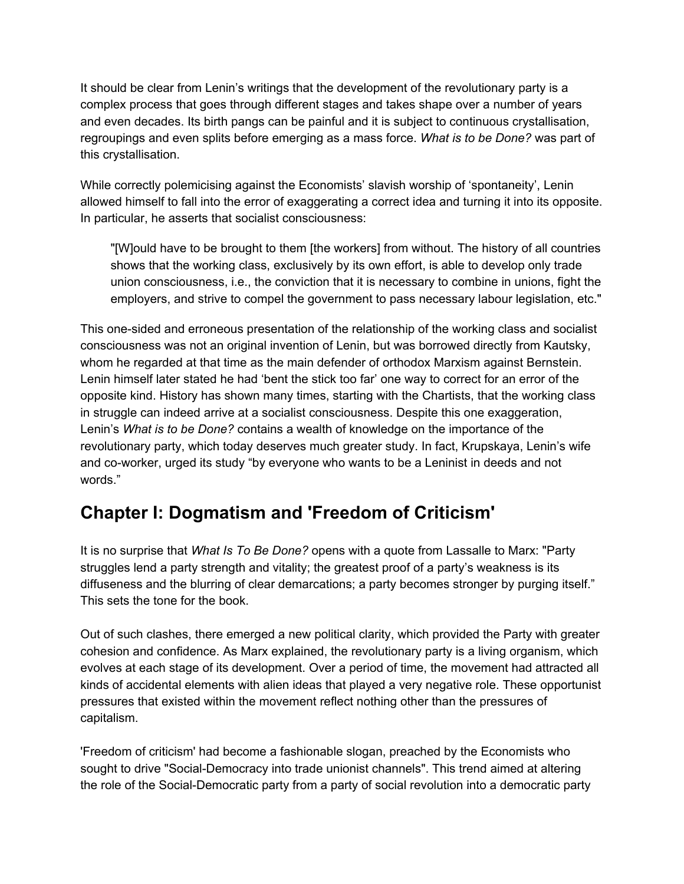It should be clear from Lenin's writings that the development of the revolutionary party is a complex process that goes through different stages and takes shape over a number of years and even decades. Its birth pangs can be painful and it is subject to continuous crystallisation, regroupings and even splits before emerging as a mass force. *What is to be Done?* was part of this crystallisation.

While correctly polemicising against the Economists' slavish worship of 'spontaneity', Lenin allowed himself to fall into the error of exaggerating a correct idea and turning it into its opposite. In particular, he asserts that socialist consciousness:

"[W]ould have to be brought to them [the workers] from without. The history of all countries shows that the working class, exclusively by its own effort, is able to develop only trade union consciousness, i.e., the conviction that it is necessary to combine in unions, fight the employers, and strive to compel the government to pass necessary labour legislation, etc."

This one-sided and erroneous presentation of the relationship of the working class and socialist consciousness was not an original invention of Lenin, but was borrowed directly from Kautsky, whom he regarded at that time as the main defender of orthodox Marxism against Bernstein. Lenin himself later stated he had 'bent the stick too far' one way to correct for an error of the opposite kind. History has shown many times, starting with the Chartists, that the working class in struggle can indeed arrive at a socialist consciousness. Despite this one exaggeration, Lenin's *What is to be Done?* contains a wealth of knowledge on the importance of the revolutionary party, which today deserves much greater study. In fact, Krupskaya, Lenin's wife and co-worker, urged its study "by everyone who wants to be a Leninist in deeds and not words."

# **Chapter I: Dogmatism and 'Freedom of Criticism'**

It is no surprise that *What Is To Be Done?* opens with a quote from Lassalle to Marx: "Party struggles lend a party strength and vitality; the greatest proof of a party's weakness is its diffuseness and the blurring of clear demarcations; a party becomes stronger by purging itself." This sets the tone for the book.

Out of such clashes, there emerged a new political clarity, which provided the Party with greater cohesion and confidence. As Marx explained, the revolutionary party is a living organism, which evolves at each stage of its development. Over a period of time, the movement had attracted all kinds of accidental elements with alien ideas that played a very negative role. These opportunist pressures that existed within the movement reflect nothing other than the pressures of capitalism.

'Freedom of criticism' had become a fashionable slogan, preached by the Economists who sought to drive "Social-Democracy into trade unionist channels". This trend aimed at altering the role of the Social-Democratic party from a party of social revolution into a democratic party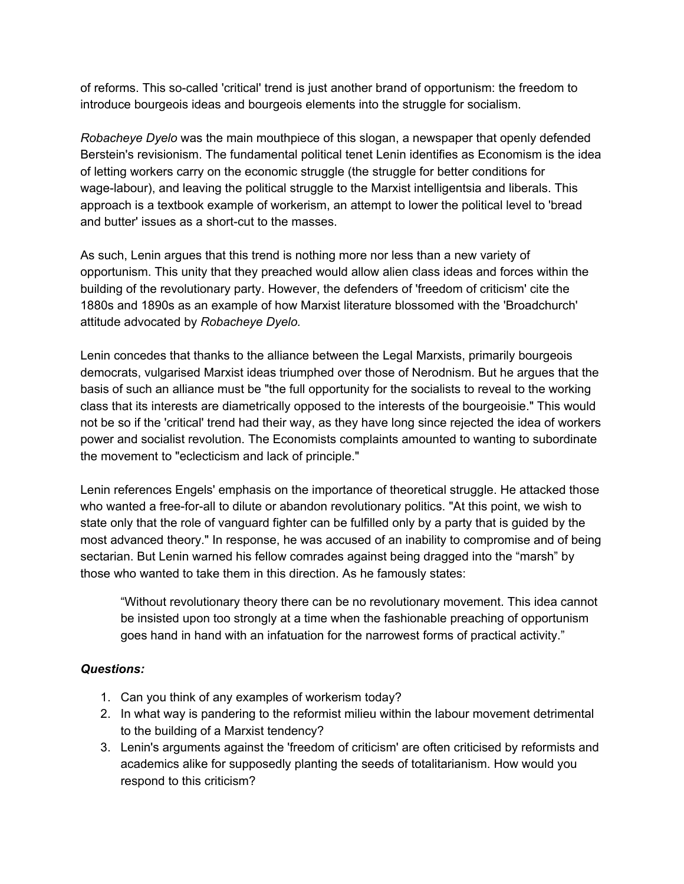of reforms. This so-called 'critical' trend is just another brand of opportunism: the freedom to introduce bourgeois ideas and bourgeois elements into the struggle for socialism.

*Robacheye Dyelo* was the main mouthpiece of this slogan, a newspaper that openly defended Berstein's revisionism. The fundamental political tenet Lenin identifies as Economism is the idea of letting workers carry on the economic struggle (the struggle for better conditions for wage-labour), and leaving the political struggle to the Marxist intelligentsia and liberals. This approach is a textbook example of workerism, an attempt to lower the political level to 'bread and butter' issues as a short-cut to the masses.

As such, Lenin argues that this trend is nothing more nor less than a new variety of opportunism. This unity that they preached would allow alien class ideas and forces within the building of the revolutionary party. However, the defenders of 'freedom of criticism' cite the 1880s and 1890s as an example of how Marxist literature blossomed with the 'Broadchurch' attitude advocated by *Robacheye Dyelo.*

Lenin concedes that thanks to the alliance between the Legal Marxists, primarily bourgeois democrats, vulgarised Marxist ideas triumphed over those of Nerodnism. But he argues that the basis of such an alliance must be "the full opportunity for the socialists to reveal to the working class that its interests are diametrically opposed to the interests of the bourgeoisie." This would not be so if the 'critical' trend had their way, as they have long since rejected the idea of workers power and socialist revolution. The Economists complaints amounted to wanting to subordinate the movement to "eclecticism and lack of principle."

Lenin references Engels' emphasis on the importance of theoretical struggle. He attacked those who wanted a free-for-all to dilute or abandon revolutionary politics. "At this point, we wish to state only that the role of vanguard fighter can be fulfilled only by a party that is guided by the most advanced theory." In response, he was accused of an inability to compromise and of being sectarian. But Lenin warned his fellow comrades against being dragged into the "marsh" by those who wanted to take them in this direction. As he famously states:

"Without revolutionary theory there can be no revolutionary movement. This idea cannot be insisted upon too strongly at a time when the fashionable preaching of opportunism goes hand in hand with an infatuation for the narrowest forms of practical activity."

### *Questions:*

- 1. Can you think of any examples of workerism today?
- 2. In what way is pandering to the reformist milieu within the labour movement detrimental to the building of a Marxist tendency?
- 3. Lenin's arguments against the 'freedom of criticism' are often criticised by reformists and academics alike for supposedly planting the seeds of totalitarianism. How would you respond to this criticism?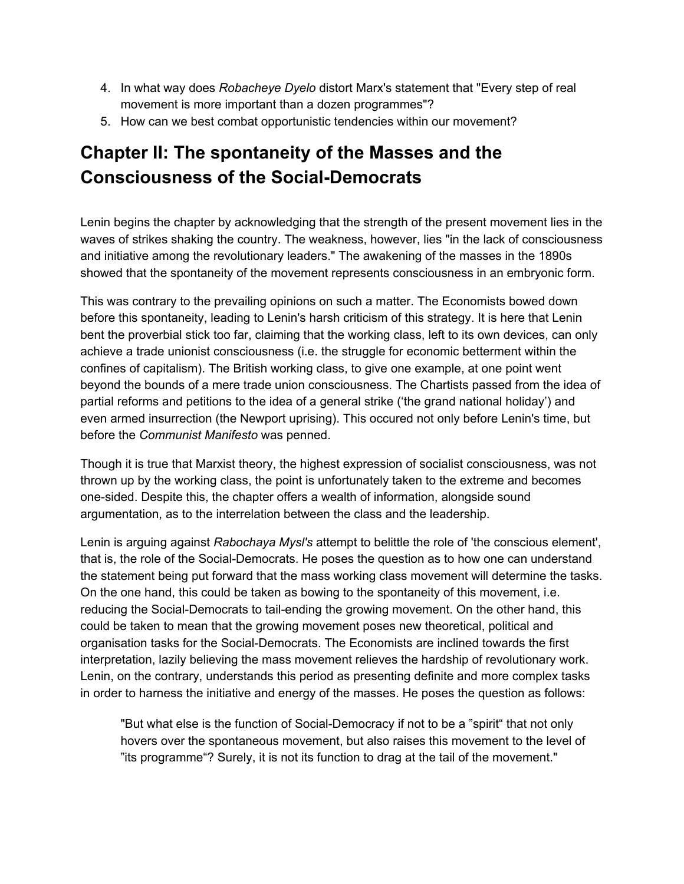- 4. In what way does *Robacheye Dyelo* distort Marx's statement that "Every step of real movement is more important than a dozen programmes"?
- 5. How can we best combat opportunistic tendencies within our movement?

# **Chapter II: The spontaneity of the Masses and the Consciousness of the Social-Democrats**

Lenin begins the chapter by acknowledging that the strength of the present movement lies in the waves of strikes shaking the country. The weakness, however, lies "in the lack of consciousness and initiative among the revolutionary leaders." The awakening of the masses in the 1890s showed that the spontaneity of the movement represents consciousness in an embryonic form.

This was contrary to the prevailing opinions on such a matter. The Economists bowed down before this spontaneity, leading to Lenin's harsh criticism of this strategy. It is here that Lenin bent the proverbial stick too far, claiming that the working class, left to its own devices, can only achieve a trade unionist consciousness (i.e. the struggle for economic betterment within the confines of capitalism). The British working class, to give one example, at one point went beyond the bounds of a mere trade union consciousness. The Chartists passed from the idea of partial reforms and petitions to the idea of a general strike ('the grand national holiday') and even armed insurrection (the Newport uprising). This occured not only before Lenin's time, but before the *Communist Manifesto* was penned.

Though it is true that Marxist theory, the highest expression of socialist consciousness, was not thrown up by the working class, the point is unfortunately taken to the extreme and becomes one-sided. Despite this, the chapter offers a wealth of information, alongside sound argumentation, as to the interrelation between the class and the leadership.

Lenin is arguing against *Rabochaya Mysl's* attempt to belittle the role of 'the conscious element', that is, the role of the Social-Democrats. He poses the question as to how one can understand the statement being put forward that the mass working class movement will determine the tasks. On the one hand, this could be taken as bowing to the spontaneity of this movement, i.e. reducing the Social-Democrats to tail-ending the growing movement. On the other hand, this could be taken to mean that the growing movement poses new theoretical, political and organisation tasks for the Social-Democrats. The Economists are inclined towards the first interpretation, lazily believing the mass movement relieves the hardship of revolutionary work. Lenin, on the contrary, understands this period as presenting definite and more complex tasks in order to harness the initiative and energy of the masses. He poses the question as follows:

"But what else is the function of Social-Democracy if not to be a "spirit" that not only hovers over the spontaneous movement, but also raises this movement to the level of "its programme"? Surely, it is not its function to drag at the tail of the movement."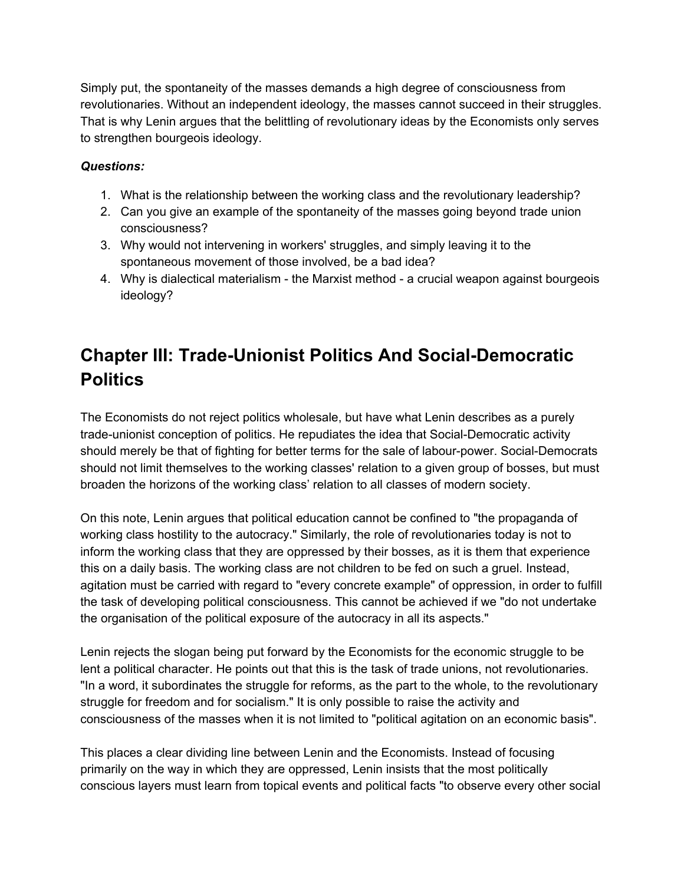Simply put, the spontaneity of the masses demands a high degree of consciousness from revolutionaries. Without an independent ideology, the masses cannot succeed in their struggles. That is why Lenin argues that the belittling of revolutionary ideas by the Economists only serves to strengthen bourgeois ideology.

### *Questions:*

- 1. What is the relationship between the working class and the revolutionary leadership?
- 2. Can you give an example of the spontaneity of the masses going beyond trade union consciousness?
- 3. Why would not intervening in workers' struggles, and simply leaving it to the spontaneous movement of those involved, be a bad idea?
- 4. Why is dialectical materialism the Marxist method a crucial weapon against bourgeois ideology?

# **Chapter III: Trade-Unionist Politics And Social-Democratic Politics**

The Economists do not reject politics wholesale, but have what Lenin describes as a purely trade-unionist conception of politics. He repudiates the idea that Social-Democratic activity should merely be that of fighting for better terms for the sale of labour-power. Social-Democrats should not limit themselves to the working classes' relation to a given group of bosses, but must broaden the horizons of the working class' relation to all classes of modern society.

On this note, Lenin argues that political education cannot be confined to "the propaganda of working class hostility to the autocracy." Similarly, the role of revolutionaries today is not to inform the working class that they are oppressed by their bosses, as it is them that experience this on a daily basis. The working class are not children to be fed on such a gruel. Instead, agitation must be carried with regard to "every concrete example" of oppression, in order to fulfill the task of developing political consciousness. This cannot be achieved if we "do not undertake the organisation of the political exposure of the autocracy in all its aspects."

Lenin rejects the slogan being put forward by the Economists for the economic struggle to be lent a political character. He points out that this is the task of trade unions, not revolutionaries. "In a word, it subordinates the struggle for reforms, as the part to the whole, to the revolutionary struggle for freedom and for socialism." It is only possible to raise the activity and consciousness of the masses when it is not limited to "political agitation on an economic basis".

This places a clear dividing line between Lenin and the Economists. Instead of focusing primarily on the way in which they are oppressed, Lenin insists that the most politically conscious layers must learn from topical events and political facts "to observe every other social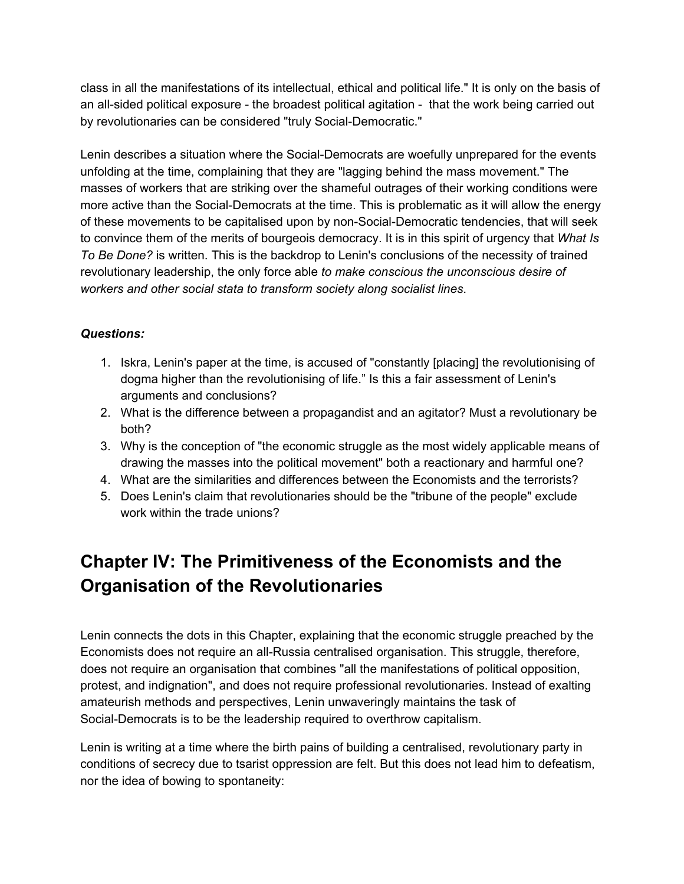class in all the manifestations of its intellectual, ethical and political life." It is only on the basis of an all-sided political exposure - the broadest political agitation - that the work being carried out by revolutionaries can be considered "truly Social-Democratic."

Lenin describes a situation where the Social-Democrats are woefully unprepared for the events unfolding at the time, complaining that they are "lagging behind the mass movement." The masses of workers that are striking over the shameful outrages of their working conditions were more active than the Social-Democrats at the time. This is problematic as it will allow the energy of these movements to be capitalised upon by non-Social-Democratic tendencies, that will seek to convince them of the merits of bourgeois democracy. It is in this spirit of urgency that *What Is To Be Done?* is written. This is the backdrop to Lenin's conclusions of the necessity of trained revolutionary leadership, the only force able *to make conscious the unconscious desire of workers and other social stata to transform society along socialist lines*.

### *Questions:*

- 1. Iskra, Lenin's paper at the time, is accused of "constantly [placing] the revolutionising of dogma higher than the revolutionising of life." Is this a fair assessment of Lenin's arguments and conclusions?
- 2. What is the difference between a propagandist and an agitator? Must a revolutionary be both?
- 3. Why is the conception of "the economic struggle as the most widely applicable means of drawing the masses into the political movement" both a reactionary and harmful one?
- 4. What are the similarities and differences between the Economists and the terrorists?
- 5. Does Lenin's claim that revolutionaries should be the "tribune of the people" exclude work within the trade unions?

# **Chapter IV: The Primitiveness of the Economists and the Organisation of the Revolutionaries**

Lenin connects the dots in this Chapter, explaining that the economic struggle preached by the Economists does not require an all-Russia centralised organisation. This struggle, therefore, does not require an organisation that combines "all the manifestations of political opposition, protest, and indignation", and does not require professional revolutionaries. Instead of exalting amateurish methods and perspectives, Lenin unwaveringly maintains the task of Social-Democrats is to be the leadership required to overthrow capitalism.

Lenin is writing at a time where the birth pains of building a centralised, revolutionary party in conditions of secrecy due to tsarist oppression are felt. But this does not lead him to defeatism, nor the idea of bowing to spontaneity: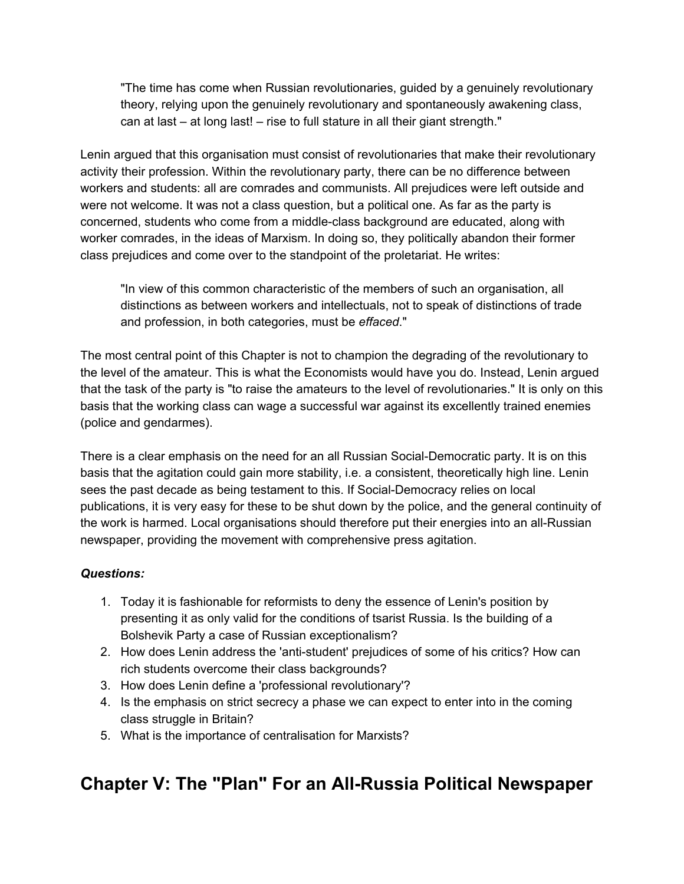"The time has come when Russian revolutionaries, guided by a genuinely revolutionary theory, relying upon the genuinely revolutionary and spontaneously awakening class, can at last – at long last! – rise to full stature in all their giant strength."

Lenin argued that this organisation must consist of revolutionaries that make their revolutionary activity their profession. Within the revolutionary party, there can be no difference between workers and students: all are comrades and communists. All prejudices were left outside and were not welcome. It was not a class question, but a political one. As far as the party is concerned, students who come from a middle-class background are educated, along with worker comrades, in the ideas of Marxism. In doing so, they politically abandon their former class prejudices and come over to the standpoint of the proletariat. He writes:

"In view of this common characteristic of the members of such an organisation, all distinctions as between workers and intellectuals, not to speak of distinctions of trade and profession, in both categories, must be *effaced*."

The most central point of this Chapter is not to champion the degrading of the revolutionary to the level of the amateur. This is what the Economists would have you do. Instead, Lenin argued that the task of the party is "to raise the amateurs to the level of revolutionaries." It is only on this basis that the working class can wage a successful war against its excellently trained enemies (police and gendarmes).

There is a clear emphasis on the need for an all Russian Social-Democratic party. It is on this basis that the agitation could gain more stability, i.e. a consistent, theoretically high line. Lenin sees the past decade as being testament to this. If Social-Democracy relies on local publications, it is very easy for these to be shut down by the police, and the general continuity of the work is harmed. Local organisations should therefore put their energies into an all-Russian newspaper, providing the movement with comprehensive press agitation.

### *Questions:*

- 1. Today it is fashionable for reformists to deny the essence of Lenin's position by presenting it as only valid for the conditions of tsarist Russia. Is the building of a Bolshevik Party a case of Russian exceptionalism?
- 2. How does Lenin address the 'anti-student' prejudices of some of his critics? How can rich students overcome their class backgrounds?
- 3. How does Lenin define a 'professional revolutionary'?
- 4. Is the emphasis on strict secrecy a phase we can expect to enter into in the coming class struggle in Britain?
- 5. What is the importance of centralisation for Marxists?

## **Chapter V: The "Plan" For an All-Russia Political Newspaper**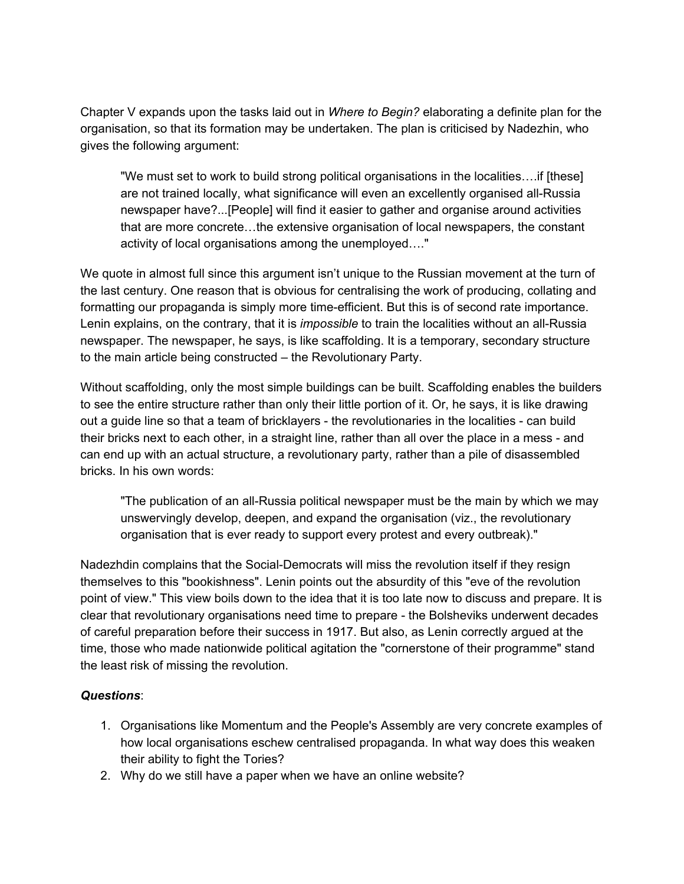Chapter V expands upon the tasks laid out in *Where to Begin?* elaborating a definite plan for the organisation, so that its formation may be undertaken. The plan is criticised by Nadezhin, who gives the following argument:

"We must set to work to build strong political organisations in the localities….if [these] are not trained locally, what significance will even an excellently organised all-Russia newspaper have?...[People] will find it easier to gather and organise around activities that are more concrete…the extensive organisation of local newspapers, the constant activity of local organisations among the unemployed…."

We quote in almost full since this argument isn't unique to the Russian movement at the turn of the last century. One reason that is obvious for centralising the work of producing, collating and formatting our propaganda is simply more time-efficient. But this is of second rate importance. Lenin explains, on the contrary, that it is *impossible* to train the localities without an all-Russia newspaper. The newspaper, he says, is like scaffolding. It is a temporary, secondary structure to the main article being constructed – the Revolutionary Party.

Without scaffolding, only the most simple buildings can be built. Scaffolding enables the builders to see the entire structure rather than only their little portion of it. Or, he says, it is like drawing out a guide line so that a team of bricklayers - the revolutionaries in the localities - can build their bricks next to each other, in a straight line, rather than all over the place in a mess - and can end up with an actual structure, a revolutionary party, rather than a pile of disassembled bricks. In his own words:

"The publication of an all-Russia political newspaper must be the main by which we may unswervingly develop, deepen, and expand the organisation (viz., the revolutionary organisation that is ever ready to support every protest and every outbreak)."

Nadezhdin complains that the Social-Democrats will miss the revolution itself if they resign themselves to this "bookishness". Lenin points out the absurdity of this "eve of the revolution point of view." This view boils down to the idea that it is too late now to discuss and prepare. It is clear that revolutionary organisations need time to prepare - the Bolsheviks underwent decades of careful preparation before their success in 1917. But also, as Lenin correctly argued at the time, those who made nationwide political agitation the "cornerstone of their programme" stand the least risk of missing the revolution.

### *Questions*:

- 1. Organisations like Momentum and the People's Assembly are very concrete examples of how local organisations eschew centralised propaganda. In what way does this weaken their ability to fight the Tories?
- 2. Why do we still have a paper when we have an online website?